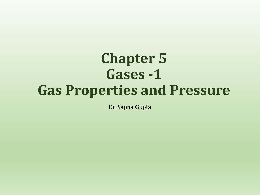# **Chapter 5 Gases -1 Gas Properties and Pressure**

Dr. Sapna Gupta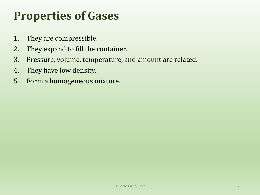### **Properties of Gases**

- 1. They are compressible.
- 2. They expand to fill the container.
- 3. Pressure, volume, temperature, and amount are related.
- 4. They have low density.
- 5. Form a homogeneous mixture.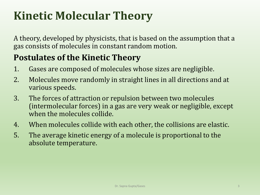## **Kinetic Molecular Theory**

A theory, developed by physicists, that is based on the assumption that a gas consists of molecules in constant random motion.

#### **Postulates of the Kinetic Theory**

- 1. Gases are composed of molecules whose sizes are negligible.
- 2. Molecules move randomly in straight lines in all directions and at various speeds.
- 3. The forces of attraction or repulsion between two molecules (intermolecular forces) in a gas are very weak or negligible, except when the molecules collide.
- 4. When molecules collide with each other, the collisions are elastic.
- 5. The average kinetic energy of a molecule is proportional to the absolute temperature.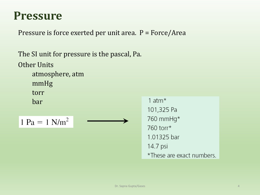### **Pressure**

Pressure is force exerted per unit area.  $P = Force/Area$ 

The SI unit for pressure is the pascal, Pa. Other Units atmosphere, atm mmHg torr bar  $1 Pa = 1 N/m<sup>2</sup>$ 

1 atm $*$ 101,325 Pa 760 mmHg\* 760 torr\* 1.01325 bar 14.7 psi \*These are exact numbers.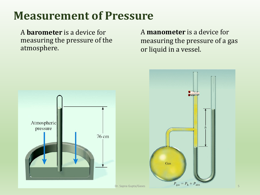### **Measurement of Pressure**

A **barometer** is a device for measuring the pressure of the atmosphere.

A **manometer** is a device for measuring the pressure of a gas or liquid in a vessel.